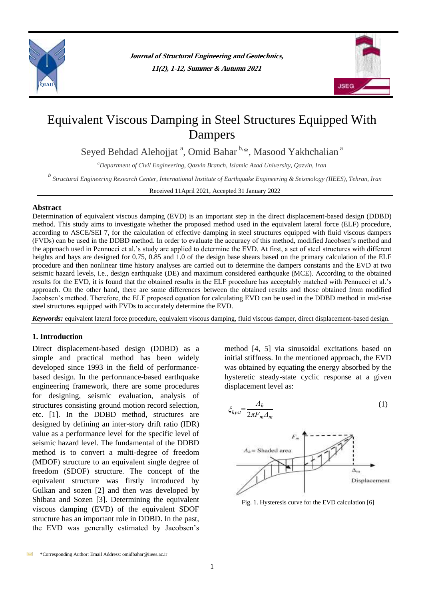



# Equivalent Viscous Damping in Steel Structures Equipped With Dampers

Seyed Behdad Alehojjat<sup>a</sup>, Omid Bahar<sup>b,\*</sup>, Masood Yakhchalian<sup>a</sup>

*<sup>a</sup>Department of Civil Engineering, Qazvin Branch, Islamic Azad University, Qazvin, Iran*

*b Structural Engineering Research Center, International Institute of Earthquake Engineering & Seismology (IIEES), Tehran, Iran*

Received 11April 2021, Accepted 31 January 2022

#### **Abstract**

Determination of equivalent viscous damping (EVD) is an important step in the direct displacement-based design (DDBD) method. This study aims to investigate whether the proposed method used in the equivalent lateral force (ELF) procedure, according to ASCE/SEI 7, for the calculation of effective damping in steel structures equipped with fluid viscous dampers (FVDs) can be used in the DDBD method. In order to evaluate the accuracy of this method, modified Jacobsen's method and the approach used in Pennucci et al.'s study are applied to determine the EVD. At first, a set of steel structures with different heights and bays are designed for 0.75, 0.85 and 1.0 of the design base shears based on the primary calculation of the ELF procedure and then nonlinear time history analyses are carried out to determine the dampers constants and the EVD at two seismic hazard levels, i.e., design earthquake (DE) and maximum considered earthquake (MCE). According to the obtained results for the EVD, it is found that the obtained results in the ELF procedure has acceptably matched with Pennucci et al.'s approach. On the other hand, there are some differences between the obtained results and those obtained from modified Jacobsen's method. Therefore, the ELF proposed equation for calculating EVD can be used in the DDBD method in mid-rise steel structures equipped with FVDs to accurately determine the EVD.

*Keywords:* equivalent lateral force procedure, equivalent viscous damping, fluid viscous damper, direct displacement-based design.

## **1. Introduction**

Direct displacement-based design (DDBD) as a simple and practical method has been widely developed since 1993 in the field of performancebased design. In the performance-based earthquake engineering framework, there are some procedures for designing, seismic evaluation, analysis of structures consisting ground motion record selection, etc. [1]. In the DDBD method, structures are designed by defining an inter-story drift ratio (IDR) value as a performance level for the specific level of seismic hazard level. The fundamental of the DDBD method is to convert a multi-degree of freedom (MDOF) structure to an equivalent single degree of freedom (SDOF) structure. The concept of the equivalent structure was firstly introduced by Gulkan and sozen [2] and then was developed by Shibata and Sozen [3]. Determining the equivalent viscous damping (EVD) of the equivalent SDOF structure has an important role in DDBD. In the past, the EVD was generally estimated by Jacobsen's

method [4, 5] via sinusoidal excitations based on initial stiffness. In the mentioned approach, the EVD was obtained by equating the energy absorbed by the hysteretic steady-state cyclic response at a given displacement level as:



Fig. 1. Hysteresis curve for the EVD calculation [6]

\*Corresponding Author: Email Address: omidbahar@iiees.ac.ir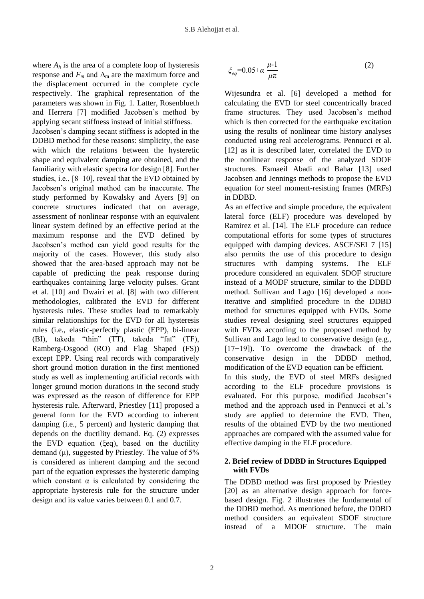where  $A_h$  is the area of a complete loop of hysteresis response and  $F_m$  and  $\Delta_m$  are the maximum force and the displacement occurred in the complete cycle respectively. The graphical representation of the parameters was shown in Fig. 1. Latter, Rosenblueth and Herrera [7] modified Jacobsen's method by applying secant stiffness instead of initial stiffness. Jacobsen's damping secant stiffness is adopted in the DDBD method for these reasons: simplicity, the ease with which the relations between the hysteretic shape and equivalent damping are obtained, and the familiarity with elastic spectra for design [8]. Further studies, i.e., [8–10], reveal that the EVD obtained by Jacobsen's original method can be inaccurate. The study performed by Kowalsky and Ayers [9] on concrete structures indicated that on average, assessment of nonlinear response with an equivalent linear system defined by an effective period at the maximum response and the EVD defined by Jacobsen's method can yield good results for the majority of the cases. However, this study also showed that the area-based approach may not be capable of predicting the peak response during earthquakes containing large velocity pulses. Grant et al. [10] and Dwairi et al. [8] with two different methodologies, calibrated the EVD for different hysteresis rules. These studies lead to remarkably similar relationships for the EVD for all hysteresis rules (i.e., elastic-perfectly plastic (EPP), bi-linear (BI), takeda "thin" (TT), takeda "fat" (TF), Ramberg-Osgood (RO) and Flag Shaped (FS)) except EPP. Using real records with comparatively short ground motion duration in the first mentioned study as well as implementing artificial records with longer ground motion durations in the second study was expressed as the reason of difference for EPP hysteresis rule. Afterward, Priestley [11] proposed a general form for the EVD according to inherent damping (i.e., 5 percent) and hysteric damping that depends on the ductility demand. Eq. (2) expresses the EVD equation (ξeq), based on the ductility demand  $(\mu)$ , suggested by Priestley. The value of 5% is considered as inherent damping and the second part of the equation expresses the hysteretic damping which constant  $\alpha$  is calculated by considering the appropriate hysteresis rule for the structure under design and its value varies between 0.1 and 0.7.

$$
\xi_{eq} = 0.05 + \alpha \frac{\mu - 1}{\mu \pi} \tag{2}
$$

Wijesundra et al. [6] developed a method for calculating the EVD for steel concentrically braced frame structures. They used Jacobsen's method which is then corrected for the earthquake excitation using the results of nonlinear time history analyses conducted using real accelerograms. Pennucci et al. [12] as it is described later, correlated the EVD to the nonlinear response of the analyzed SDOF structures. Esmaeil Abadi and Bahar [13] used Jacobsen and Jennings methods to propose the EVD equation for steel moment-resisting frames (MRFs) in DDBD.

As an effective and simple procedure, the equivalent lateral force (ELF) procedure was developed by Ramirez et al. [14]. The ELF procedure can reduce computational efforts for some types of structures equipped with damping devices. ASCE/SEI 7 [15] also permits the use of this procedure to design structures with damping systems. The ELF procedure considered an equivalent SDOF structure instead of a MODF structure, similar to the DDBD method. Sullivan and Lago [16] developed a noniterative and simplified procedure in the DDBD method for structures equipped with FVDs. Some studies reveal designing steel structures equipped with FVDs according to the proposed method by Sullivan and Lago lead to conservative design (e.g., [17−19]). To overcome the drawback of the conservative design in the DDBD method, modification of the EVD equation can be efficient. In this study, the EVD of steel MRFs designed according to the ELF procedure provisions is evaluated. For this purpose, modified Jacobsen's method and the approach used in Pennucci et al.'s study are applied to determine the EVD. Then, results of the obtained EVD by the two mentioned approaches are compared with the assumed value for effective damping in the ELF procedure.

## **2. Brief review of DDBD in Structures Equipped with FVDs**

The DDBD method was first proposed by Priestley [20] as an alternative design approach for forcebased design. Fig. 2 illustrates the fundamental of the DDBD method. As mentioned before, the DDBD method considers an equivalent SDOF structure instead of a MDOF structure. The main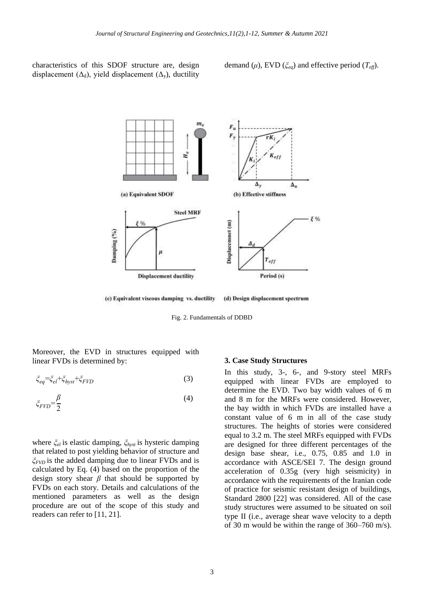characteristics of this SDOF structure are, design displacement ( $\Delta_d$ ), yield displacement ( $\Delta_v$ ), ductility

demand  $(\mu)$ , EVD  $(\xi_{eq})$  and effective period  $(T_{eff})$ .



(c) Equivalent viscous damping vs. ductility (d) Design displacement spectrum

Fig. 2. Fundamentals of DDBD

Moreover, the EVD in structures equipped with linear FVDs is determined by:

$$
\xi_{eq} = \xi_{el} + \xi_{hyst} + \xi_{FVD} \tag{3}
$$

$$
\xi_{FVD} = \frac{\beta}{2} \tag{4}
$$

where  $\zeta_{el}$  is elastic damping,  $\zeta_{hyst}$  is hysteric damping that related to post yielding behavior of structure and  $\zeta_{FVD}$  is the added damping due to linear FVDs and is calculated by Eq. (4) based on the proportion of the design story shear  $\beta$  that should be supported by FVDs on each story. Details and calculations of the mentioned parameters as well as the design procedure are out of the scope of this study and readers can refer to [11, 21].

#### **3. Case Study Structures**

In this study, 3-, 6-, and 9-story steel MRFs equipped with linear FVDs are employed to determine the EVD. Two bay width values of 6 m and 8 m for the MRFs were considered. However, the bay width in which FVDs are installed have a constant value of 6 m in all of the case study structures. The heights of stories were considered equal to 3.2 m. The steel MRFs equipped with FVDs are designed for three different percentages of the design base shear, i.e., 0.75, 0.85 and 1.0 in accordance with ASCE/SEI 7. The design ground acceleration of 0.35g (very high seismicity) in accordance with the requirements of the Iranian code of practice for seismic resistant design of buildings, Standard 2800 [22] was considered. All of the case study structures were assumed to be situated on soil type II (i.e., average shear wave velocity to a depth of 30 m would be within the range of 360–760 m/s).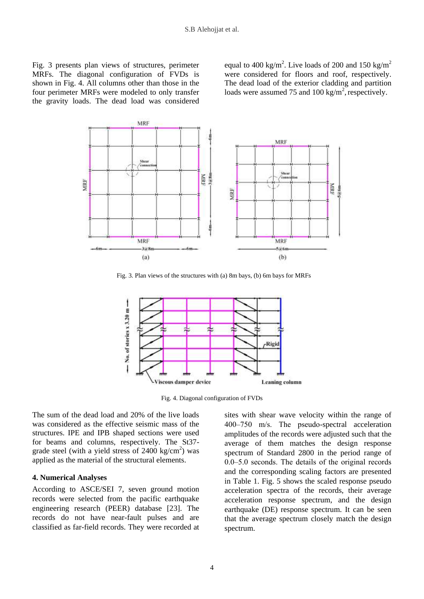Fig. 3 presents plan views of structures, perimeter MRFs. The diagonal configuration of FVDs is shown in Fig. 4. All columns other than those in the four perimeter MRFs were modeled to only transfer the gravity loads. The dead load was considered

equal to 400 kg/m<sup>2</sup>. Live loads of 200 and 150 kg/m<sup>2</sup> were considered for floors and roof, respectively. The dead load of the exterior cladding and partition loads were assumed 75 and 100 kg/m<sup>2</sup>, respectively.



Fig. 3. Plan views of the structures with (a) 8m bays, (b) 6m bays for MRFs



Fig. 4. Diagonal configuration of FVDs

The sum of the dead load and 20% of the live loads was considered as the effective seismic mass of the structures. IPE and IPB shaped sections were used for beams and columns, respectively. The St37 grade steel (with a yield stress of  $2400 \text{ kg/cm}^2$ ) was applied as the material of the structural elements.

#### **4. Numerical Analyses**

According to ASCE/SEI 7, seven ground motion records were selected from the pacific earthquake engineering research (PEER) database [23]. The records do not have near-fault pulses and are classified as far-field records. They were recorded at

sites with shear wave velocity within the range of 400‒750 m/s. The pseudo-spectral acceleration amplitudes of the records were adjusted such that the average of them matches the design response spectrum of Standard 2800 in the period range of 0.0‒5.0 seconds. The details of the original records and the corresponding scaling factors are presented in Table 1. Fig. 5 shows the scaled response pseudo acceleration spectra of the records, their average acceleration response spectrum, and the design earthquake (DE) response spectrum. It can be seen that the average spectrum closely match the design spectrum.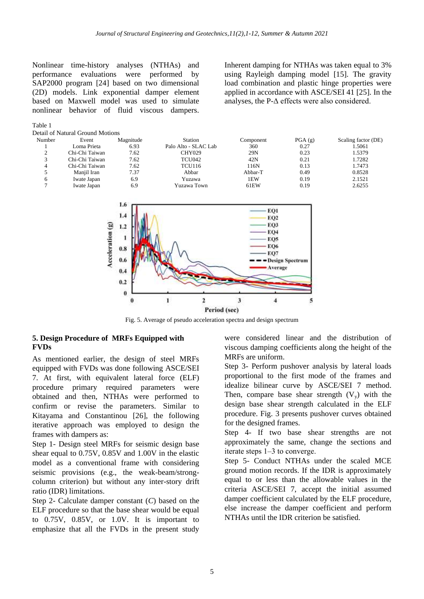Nonlinear time-history analyses (NTHAs) and performance evaluations were performed by SAP2000 program [24] based on two dimensional (2D) models. Link exponential damper element based on Maxwell model was used to simulate nonlinear behavior of fluid viscous dampers.

Table 1

Inherent damping for NTHAs was taken equal to 3% using Rayleigh damping model [15]. The gravity load combination and plastic hinge properties were applied in accordance with ASCE/SEI 41 [25]. In the analyses, the  $P-\Delta$  effects were also considered.



Fig. 5. Average of pseudo acceleration spectra and design spectrum

## **5. Design Procedure of MRFs Equipped with FVDs**

As mentioned earlier, the design of steel MRFs equipped with FVDs was done following ASCE/SEI 7. At first, with equivalent lateral force (ELF) procedure primary required parameters were obtained and then, NTHAs were performed to confirm or revise the parameters. Similar to Kitayama and Constantinou [26], the following iterative approach was employed to design the frames with dampers as:

Step 1- Design steel MRFs for seismic design base shear equal to 0.75V, 0.85V and 1.00V in the elastic model as a conventional frame with considering seismic provisions (e.g., the weak-beam/strongcolumn criterion) but without any inter-story drift ratio (IDR) limitations.

Step 2- Calculate damper constant (*C*) based on the ELF procedure so that the base shear would be equal to 0.75V, 0.85V, or 1.0V. It is important to emphasize that all the FVDs in the present study

were considered linear and the distribution of viscous damping coefficients along the height of the MRFs are uniform.

Step 3- Perform pushover analysis by lateral loads proportional to the first mode of the frames and idealize bilinear curve by ASCE/SEI 7 method. Then, compare base shear strength  $(V_y)$  with the design base shear strength calculated in the ELF procedure. Fig. 3 presents pushover curves obtained for the designed frames.

Step 4- If two base shear strengths are not approximately the same, change the sections and iterate steps 1‒3 to converge.

Step 5- Conduct NTHAs under the scaled MCE ground motion records. If the IDR is approximately equal to or less than the allowable values in the criteria ASCE/SEI 7, accept the initial assumed damper coefficient calculated by the ELF procedure, else increase the damper coefficient and perform NTHAs until the IDR criterion be satisfied.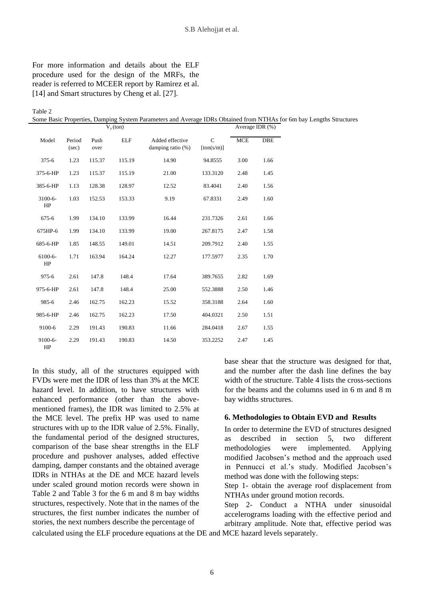# For more information and details about the ELF procedure used for the design of the MRFs, the reader is referred to MCEER report by Ramirez et al. [14] and Smart structures by Cheng et al. [27].

Table 2

Some Basic Properties, Damping System Parameters and Average IDRs Obtained from NTHAs for 6m bay Lengths Structures

|                  | $V_{v}$ (ton)   |              |            |                                         |                            | Average IDR $(\%)$ |      |
|------------------|-----------------|--------------|------------|-----------------------------------------|----------------------------|--------------------|------|
| Model            | Period<br>(sec) | Push<br>over | <b>ELF</b> | Added effective<br>damping ratio $(\%)$ | $\mathsf{C}$<br>[ton(s/m)] | <b>MCE</b>         | DBE  |
| $375 - 6$        | 1.23            | 115.37       | 115.19     | 14.90                                   | 94.8555                    | 3.00               | 1.66 |
| 375-6-HP         | 1.23            | 115.37       | 115.19     | 21.00                                   | 133.3120                   | 2.48               | 1.45 |
| 385-6-HP         | 1.13            | 128.38       | 128.97     | 12.52                                   | 83.4041                    | 2.40               | 1.56 |
| $3100 - 6$<br>HP | 1.03            | 152.53       | 153.33     | 9.19                                    | 67.8331                    | 2.49               | 1.60 |
| 675-6            | 1.99            | 134.10       | 133.99     | 16.44                                   | 231.7326                   | 2.61               | 1.66 |
| 675HP-6          | 1.99            | 134.10       | 133.99     | 19.00                                   | 267.8175                   | 2.47               | 1.58 |
| 685-6-HP         | 1.85            | 148.55       | 149.01     | 14.51                                   | 209.7912                   | 2.40               | 1.55 |
| 6100-6-<br>HP    | 1.71            | 163.94       | 164.24     | 12.27                                   | 177.5977                   | 2.35               | 1.70 |
| $975 - 6$        | 2.61            | 147.8        | 148.4      | 17.64                                   | 389.7655                   | 2.82               | 1.69 |
| 975-6-HP         | 2.61            | 147.8        | 148.4      | 25.00                                   | 552.3888                   | 2.50               | 1.46 |
| 985-6            | 2.46            | 162.75       | 162.23     | 15.52                                   | 358.3188                   | 2.64               | 1.60 |
| 985-6-HP         | 2.46            | 162.75       | 162.23     | 17.50                                   | 404.0321                   | 2.50               | 1.51 |
| 9100-6           | 2.29            | 191.43       | 190.83     | 11.66                                   | 284.0418                   | 2.67               | 1.55 |
| 9100-6-<br>HP    | 2.29            | 191.43       | 190.83     | 14.50                                   | 353.2252                   | 2.47               | 1.45 |

In this study, all of the structures equipped with FVDs were met the IDR of less than 3% at the MCE hazard level. In addition, to have structures with enhanced performance (other than the abovementioned frames), the IDR was limited to 2.5% at the MCE level. The prefix HP was used to name structures with up to the IDR value of 2.5%. Finally, the fundamental period of the designed structures, comparison of the base shear strengths in the ELF procedure and pushover analyses, added effective damping, damper constants and the obtained average IDRs in NTHAs at the DE and MCE hazard levels under scaled ground motion records were shown in Table 2 and Table 3 for the 6 m and 8 m bay widths structures, respectively. Note that in the names of the structures, the first number indicates the number of stories, the next numbers describe the percentage of

base shear that the structure was designed for that, and the number after the dash line defines the bay width of the structure. Table 4 lists the cross-sections for the beams and the columns used in 6 m and 8 m bay widths structures.

## **6. Methodologies to Obtain EVD and Results**

In order to determine the EVD of structures designed as described in section 5, two different methodologies were implemented. Applying modified Jacobsen's method and the approach used in Pennucci et al.'s study. Modified Jacobsen's method was done with the following steps:

Step 1- obtain the average roof displacement from NTHAs under ground motion records.

Step 2- Conduct a NTHA under sinusoidal accelerograms loading with the effective period and arbitrary amplitude. Note that, effective period was

calculated using the ELF procedure equations at the DE and MCE hazard levels separately.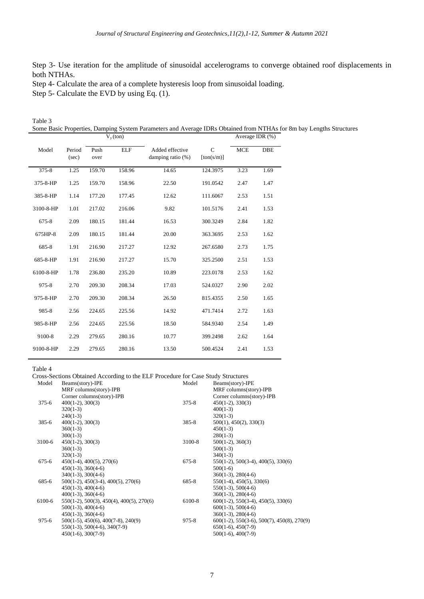Step 3- Use iteration for the amplitude of sinusoidal accelerograms to converge obtained roof displacements in both NTHAs.

Step 4- Calculate the area of a complete hysteresis loop from sinusoidal loading.

Step 5- Calculate the EVD by using Eq. (1).

| Table 3      |                                                                                                                     |  |
|--------------|---------------------------------------------------------------------------------------------------------------------|--|
|              | Some Basic Properties, Damping System Parameters and Average IDRs Obtained from NTHAs for 8m bay Lengths Structures |  |
| $V_{v}(ton)$ | Average IDR $(\%)$                                                                                                  |  |

| Model     | Period<br>(sec) | Push<br>over | <b>ELF</b> | Added effective<br>damping ratio $(\%)$ | $\mathsf{C}$<br>[ton(s/m)] | <b>MCE</b> | <b>DBE</b> |
|-----------|-----------------|--------------|------------|-----------------------------------------|----------------------------|------------|------------|
| $375 - 8$ | 1.25            | 159.70       | 158.96     | 14.65                                   | 124.3975                   | 3.23       | 1.69       |
| 375-8-HP  | 1.25            | 159.70       | 158.96     | 22.50                                   | 191.0542                   | 2.47       | 1.47       |
| 385-8-HP  | 1.14            | 177.20       | 177.45     | 12.62                                   | 111.6067                   | 2.53       | 1.51       |
| 3100-8-HP | 1.01            | 217.02       | 216.06     | 9.82                                    | 101.5176                   | 2.41       | 1.53       |
| 675-8     | 2.09            | 180.15       | 181.44     | 16.53                                   | 300.3249                   | 2.84       | 1.82       |
| 675HP-8   | 2.09            | 180.15       | 181.44     | 20.00                                   | 363.3695                   | 2.53       | 1.62       |
| 685-8     | 1.91            | 216.90       | 217.27     | 12.92                                   | 267.6580                   | 2.73       | 1.75       |
| 685-8-HP  | 1.91            | 216.90       | 217.27     | 15.70                                   | 325.2500                   | 2.51       | 1.53       |
| 6100-8-HP | 1.78            | 236.80       | 235.20     | 10.89                                   | 223.0178                   | 2.53       | 1.62       |
| 975-8     | 2.70            | 209.30       | 208.34     | 17.03                                   | 524.0327                   | 2.90       | 2.02       |
| 975-8-HP  | 2.70            | 209.30       | 208.34     | 26.50                                   | 815.4355                   | 2.50       | 1.65       |
| 985-8     | 2.56            | 224.65       | 225.56     | 14.92                                   | 471.7414                   | 2.72       | 1.63       |
| 985-8-HP  | 2.56            | 224.65       | 225.56     | 18.50                                   | 584.9340                   | 2.54       | 1.49       |
| 9100-8    | 2.29            | 279.65       | 280.16     | 10.77                                   | 399.2498                   | 2.62       | 1.64       |
| 9100-8-HP | 2.29            | 279.65       | 280.16     | 13.50                                   | 500.4524                   | 2.41       | 1.53       |

Table 4

Cross-Sections Obtained According to the ELF Procedure for Case Study Structures

| Model     | Beams(story)-IPE                                       | Model     | Beams(story)-IPE                              |
|-----------|--------------------------------------------------------|-----------|-----------------------------------------------|
|           | MRF columns(story)-IPB                                 |           | MRF columns(story)-IPB                        |
|           | Corner columns(story)-IPB                              |           | Corner columns(story)-IPB                     |
| $375 - 6$ | $400(1-2)$ , $300(3)$                                  | $375 - 8$ | $450(1-2), 330(3)$                            |
|           | $320(1-3)$                                             |           | $400(1-3)$                                    |
|           | $240(1-3)$                                             |           | $320(1-3)$                                    |
| 385-6     | $400(1-2), 300(3)$                                     | $385 - 8$ | $500(1)$ , $450(2)$ , $330(3)$                |
|           | $360(1-3)$                                             |           | $450(1-3)$                                    |
|           | $300(1-3)$                                             |           | $280(1-3)$                                    |
| 3100-6    | $450(1-2), 300(3)$                                     | 3100-8    | $500(1-2), 360(3)$                            |
|           | $360(1-3)$                                             |           | $500(1-3)$                                    |
|           | $320(1-3)$                                             |           | $340(1-3)$                                    |
| $675 - 6$ | $450(1-4), 400(5), 270(6)$                             | $675 - 8$ | $550(1-2)$ , $500(3-4)$ , $400(5)$ , $330(6)$ |
|           | $450(1-3), 360(4-6)$                                   |           | $500(1-6)$                                    |
|           | $340(1-3)$ , $300(4-6)$                                |           | $360(1-3), 280(4-6)$                          |
| 685-6     | $500(1-2)$ , $450(3-4)$ , $400(5)$ , $270(6)$          | 685-8     | $550(1-4)$ , $450(5)$ , $330(6)$              |
|           | $450(1-3), 400(4-6)$                                   |           | $550(1-3)$ , $500(4-6)$                       |
|           | $400(1-3)$ , $360(4-6)$                                |           | $360(1-3), 280(4-6)$                          |
| 6100-6    | $550(1-2)$ , $500(3)$ , $450(4)$ , $400(5)$ , $270(6)$ | 6100-8    | $600(1-2)$ , 550(3-4), 450(5), 330(6)         |
|           | $500(1-3)$ , $400(4-6)$                                |           | $600(1-3)$ , $500(4-6)$                       |
|           | $450(1-3), 360(4-6)$                                   |           | $360(1-3), 280(4-6)$                          |
| $975 - 6$ | $500(1-5)$ , $450(6)$ , $400(7-8)$ , $240(9)$          | $975 - 8$ | $600(1-2)$ , 550(3-6), 500(7), 450(8), 270(9) |
|           | $550(1-3)$ , $500(4-6)$ , $340(7-9)$                   |           | $650(1-6)$ , $450(7-9)$                       |
|           | $450(1-6)$ , $300(7-9)$                                |           | $500(1-6)$ , $400(7-9)$                       |
|           |                                                        |           |                                               |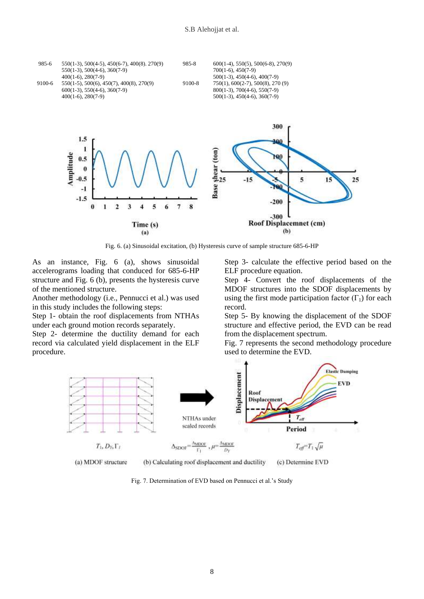

Fig. 6. (a) Sinusoidal excitation, (b) Hysteresis curve of sample structure 685-6-HP

As an instance, Fig. 6 (a), shows sinusoidal accelerograms loading that conduced for 685-6-HP structure and Fig. 6 (b), presents the hysteresis curve of the mentioned structure.

Another methodology (i.e., Pennucci et al.) was used in this study includes the following steps:

Step 1- obtain the roof displacements from NTHAs under each ground motion records separately.

Step 2- determine the ductility demand for each record via calculated yield displacement in the ELF procedure.

Step 3- calculate the effective period based on the ELF procedure equation.

Step 4- Convert the roof displacements of the MDOF structures into the SDOF displacements by using the first mode participation factor  $(\Gamma_1)$  for each record.

Step 5- By knowing the displacement of the SDOF structure and effective period, the EVD can be read from the displacement spectrum.

Fig. 7 represents the second methodology procedure used to determine the EVD.



Fig. 7. Determination of EVD based on Pennucci et al.'s Study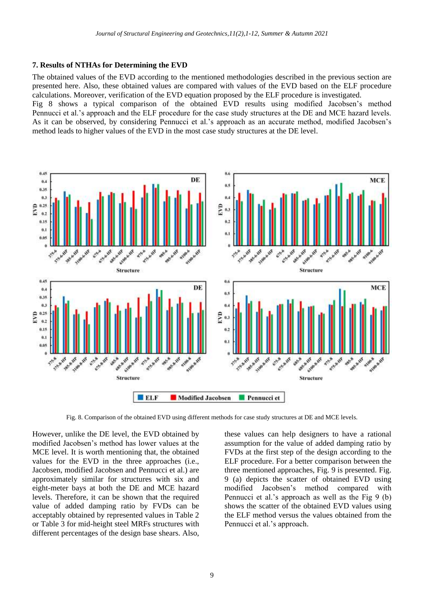## **7. Results of NTHAs for Determining the EVD**

The obtained values of the EVD according to the mentioned methodologies described in the previous section are presented here. Also, these obtained values are compared with values of the EVD based on the ELF procedure calculations. Moreover, verification of the EVD equation proposed by the ELF procedure is investigated.

Fig 8 shows a typical comparison of the obtained EVD results using modified Jacobsen's method Pennucci et al.'s approach and the ELF procedure for the case study structures at the DE and MCE hazard levels. As it can be observed, by considering Pennucci et al.'s approach as an accurate method, modified Jacobsen's method leads to higher values of the EVD in the most case study structures at the DE level.



Fig. 8. Comparison of the obtained EVD using different methods for case study structures at DE and MCE levels.

However, unlike the DE level, the EVD obtained by modified Jacobsen's method has lower values at the MCE level. It is worth mentioning that, the obtained values for the EVD in the three approaches (i.e., Jacobsen, modified Jacobsen and Pennucci et al.) are approximately similar for structures with six and eight-meter bays at both the DE and MCE hazard levels. Therefore, it can be shown that the required value of added damping ratio by FVDs can be acceptably obtained by represented values in Table 2 or Table 3 for mid-height steel MRFs structures with different percentages of the design base shears. Also,

these values can help designers to have a rational assumption for the value of added damping ratio by FVDs at the first step of the design according to the ELF procedure. For a better comparison between the three mentioned approaches, Fig. 9 is presented. Fig. 9 (a) depicts the scatter of obtained EVD using modified Jacobsen's method compared with Pennucci et al.'s approach as well as the Fig 9 (b) shows the scatter of the obtained EVD values using the ELF method versus the values obtained from the Pennucci et al.'s approach.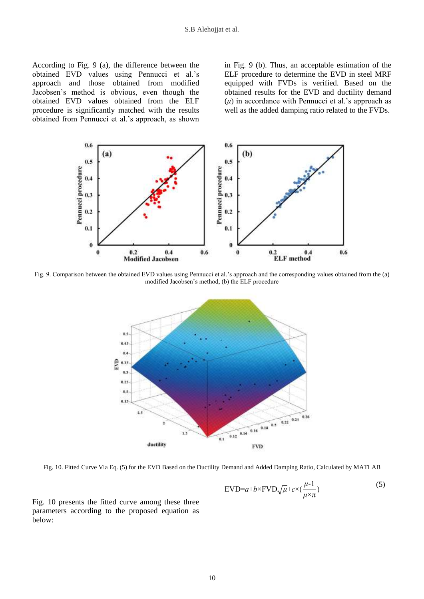According to Fig. 9 (a), the difference between the obtained EVD values using Pennucci et al.'s approach and those obtained from modified Jacobsen's method is obvious, even though the obtained EVD values obtained from the ELF procedure is significantly matched with the results obtained from Pennucci et al.'s approach, as shown in Fig. 9 (b). Thus, an acceptable estimation of the ELF procedure to determine the EVD in steel MRF equipped with FVDs is verified. Based on the obtained results for the EVD and ductility demand  $(\mu)$  in accordance with Pennucci et al.'s approach as well as the added damping ratio related to the FVDs.



Fig. 9. Comparison between the obtained EVD values using Pennucci et al.'s approach and the corresponding values obtained from the (a) modified Jacobsen's method, (b) the ELF procedure



Fig. 10. Fitted Curve Via Eq. (5) for the EVD Based on the Ductility Demand and Added Damping Ratio, Calculated by MATLAB

$$
\text{EVD}=a+b\times\text{FVD}\sqrt{\mu}+c\times(\frac{\mu-1}{\mu\times\pi})
$$
\n(5)

Fig. 10 presents the fitted curve among these three parameters according to the proposed equation as below: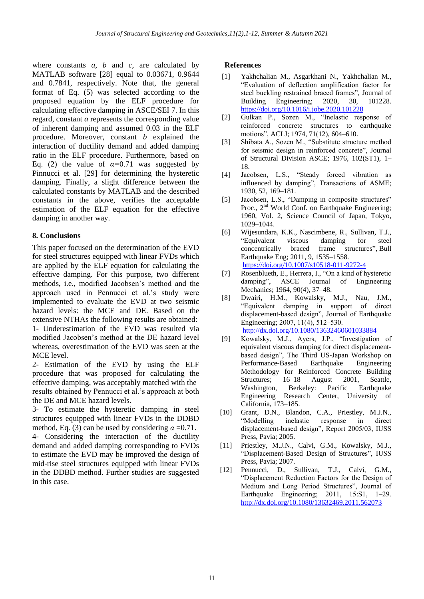where constants  $a$ ,  $b$  and  $c$ , are calculated by MATLAB software [28] equal to 0.03671, 0.9644 and 0.7841, respectively. Note that, the general format of Eq. (5) was selected according to the proposed equation by the ELF procedure for calculating effective damping in ASCE/SEI 7. In this regard, constant *a* represents the corresponding value of inherent damping and assumed 0.03 in the ELF procedure. Moreover, constant *b* explained the interaction of ductility demand and added damping ratio in the ELF procedure. Furthermore, based on Eq. (2) the value of  $\alpha=0.71$  was suggested by Pinnucci et al. [29] for determining the hysteretic damping. Finally, a slight difference between the calculated constants by MATLAB and the described constants in the above, verifies the acceptable estimation of the ELF equation for the effective damping in another way.

# **8. Conclusions**

This paper focused on the determination of the EVD for steel structures equipped with linear FVDs which are applied by the ELF equation for calculating the effective damping. For this purpose, two different methods, i.e., modified Jacobsen's method and the approach used in Pennucci et al.'s study were implemented to evaluate the EVD at two seismic hazard levels: the MCE and DE. Based on the extensive NTHAs the following results are obtained: 1- Underestimation of the EVD was resulted via modified Jacobsen's method at the DE hazard level whereas, overestimation of the EVD was seen at the MCE level.

2- Estimation of the EVD by using the ELF procedure that was proposed for calculating the effective damping, was acceptably matched with the results obtained by Pennucci et al.'s approach at both the DE and MCE hazard levels.

3- To estimate the hysteretic damping in steel structures equipped with linear FVDs in the DDBD method, Eq. (3) can be used by considering  $\alpha = 0.71$ .

4- Considering the interaction of the ductility demand and added damping corresponding to FVDs to estimate the EVD may be improved the design of mid-rise steel structures equipped with linear FVDs in the DDBD method. Further studies are suggested in this case.

## **References**

- Yakhchalian M., Asgarkhani N., Yakhchalian M., "Evaluation of deflection amplification factor for steel buckling restrained braced frames", Journal of Building Engineering; 2020, 30, 101228. <https://doi.org/10.1016/j.jobe.2020.101228>  $[1]$
- Gulkan P., Sozen M., "Inelastic response of reinforced concrete structures to earthquake motions", ACI J; 1974, 71(12), 604–610. [2]
- Shibata A., Sozen M., "Substitute structure method for seismic design in reinforced concrete", Journal of Structural Division ASCE; 1976, 102(ST1), 1– 18. [3]
- Jacobsen, L.S., "Steady forced vibration as influenced by damping", Transactions of ASME; 1930, 52, 169–181. [4]
- Jacobsen, L.S., "Damping in composite structures" Proc.,  $2^{nd}$  World Conf. on Earthquake Engineering; 1960, Vol. 2, Science Council of Japan, Tokyo, 1029–1044. [5]
- Wijesundara, K.K., Nascimbene, R., Sullivan, T.J., "Equivalent viscous damping for steel concentrically braced frame structures", Bull Earthquake Eng; 2011, 9, 1535–1558. <https://doi.org/10.1007/s10518-011-9272-4> [6]
- Rosenblueth, E., Herrera, I., "On a kind of hysteretic damping", ASCE Journal of Engineering Mechanics; 1964, 90(4), 37–48. [7]
- Dwairi, H.M., Kowalsky, M.J., Nau, J.M., "Equivalent damping in support of direct displacement-based design", Journal of Earthquake Engineering; 2007, 11(4), 512–530. <http://dx.doi.org/10.1080/13632460601033884> [8]
- Kowalsky, M.J., Ayers, J.P., "Investigation of equivalent viscous damping for direct displacementbased design", The Third US-Japan Workshop on Performance-Based Earthquake Engineering Methodology for Reinforced Concrete Building Structures; 16–18 August 2001, Seattle, Washington, Berkeley: Pacific Earthquake Engineering Research Center, University of California, 173–185. [9]
- Grant, D.N., Blandon, C.A., Priestley, M.J.N., "Modelling inelastic response in direct displacement-based design", Report 2005/03, IUSS Press, Pavia; 2005. [10]
- Priestley, M.J.N., Calvi, G.M., Kowalsky, M.J., "Displacement-Based Design of Structures", IUSS Press, Pavia; 2007.  $[11]$
- Pennucci, D., Sullivan, T.J., Calvi, G.M., "Displacement Reduction Factors for the Design of Medium and Long Period Structures", Journal of Earthquake Engineering;  $2011$ ,  $15:SI$ ,  $1-29$ . <http://dx.doi.org/10.1080/13632469.2011.562073> [12]